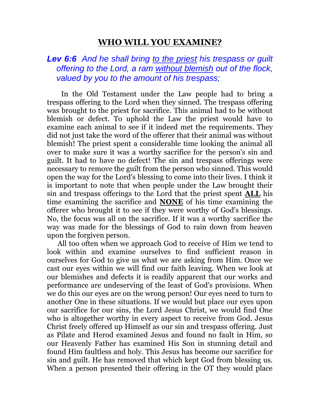# **WHO WILL YOU EXAMINE?**

# *Lev 6:6 And he shall bring to the priest his trespass or guilt offering to the Lord, a ram without blemish out of the flock, valued by you to the amount of his trespass;*

 In the Old Testament under the Law people had to bring a trespass offering to the Lord when they sinned. The trespass offering was brought to the priest for sacrifice. This animal had to be without blemish or defect. To uphold the Law the priest would have to examine each animal to see if it indeed met the requirements. They did not just take the word of the offerer that their animal was without blemish! The priest spent a considerable time looking the animal all over to make sure it was a worthy sacrifice for the person's sin and guilt. It had to have no defect! The sin and trespass offerings were necessary to remove the guilt from the person who sinned. This would open the way for the Lord's blessing to come into their lives. I think it is important to note that when people under the Law brought their sin and trespass offerings to the Lord that the priest spent **ALL** his time examining the sacrifice and **NONE** of his time examining the offerer who brought it to see if they were worthy of God's blessings. No, the focus was all on the sacrifice. If it was a worthy sacrifice the way was made for the blessings of God to rain down from heaven upon the forgiven person.

 All too often when we approach God to receive of Him we tend to look within and examine ourselves to find sufficient reason in ourselves for God to give us what we are asking from Him. Once we cast our eyes within we will find our faith leaving. When we look at our blemishes and defects it is readily apparent that our works and performance are undeserving of the least of God's provisions. When we do this our eyes are on the wrong person! Our eyes need to turn to another One in these situations. If we would but place our eyes upon our sacrifice for our sins, the Lord Jesus Christ, we would find One who is altogether worthy in every aspect to receive from God. Jesus Christ freely offered up Himself as our sin and trespass offering. Just as Pilate and Herod examined Jesus and found no fault in Him, so our Heavenly Father has examined His Son in stunning detail and found Him faultless and holy. This Jesus has become our sacrifice for sin and guilt. He has removed that which kept God from blessing us. When a person presented their offering in the OT they would place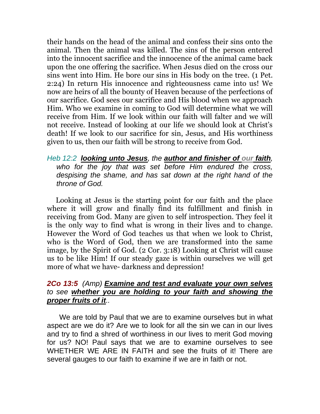their hands on the head of the animal and confess their sins onto the animal. Then the animal was killed. The sins of the person entered into the innocent sacrifice and the innocence of the animal came back upon the one offering the sacrifice. When Jesus died on the cross our sins went into Him. He bore our sins in His body on the tree. (1 Pet. 2:24) In return His innocence and righteousness came into us! We now are heirs of all the bounty of Heaven because of the perfections of our sacrifice. God sees our sacrifice and His blood when we approach Him. Who we examine in coming to God will determine what we will receive from Him. If we look within our faith will falter and we will not receive. Instead of looking at our life we should look at Christ's death! If we look to our sacrifice for sin, Jesus, and His worthiness given to us, then our faith will be strong to receive from God.

#### *Heb 12:2 looking unto Jesus, the author and finisher of our faith, who for the joy that was set before Him endured the cross, despising the shame, and has sat down at the right hand of the throne of God.*

 Looking at Jesus is the starting point for our faith and the place where it will grow and finally find its fulfillment and finish in receiving from God. Many are given to self introspection. They feel it is the only way to find what is wrong in their lives and to change. However the Word of God teaches us that when we look to Christ, who is the Word of God, then we are transformed into the same image, by the Spirit of God. (2 Cor. 3:18) Looking at Christ will cause us to be like Him! If our steady gaze is within ourselves we will get more of what we have- darkness and depression!

## *2Co 13:5 (Amp) Examine and test and evaluate your own selves to see whether you are holding to your faith and showing the proper fruits of it..*

 We are told by Paul that we are to examine ourselves but in what aspect are we do it? Are we to look for all the sin we can in our lives and try to find a shred of worthiness in our lives to merit God moving for us? NO! Paul says that we are to examine ourselves to see WHETHER WE ARE IN FAITH and see the fruits of it! There are several gauges to our faith to examine if we are in faith or not.